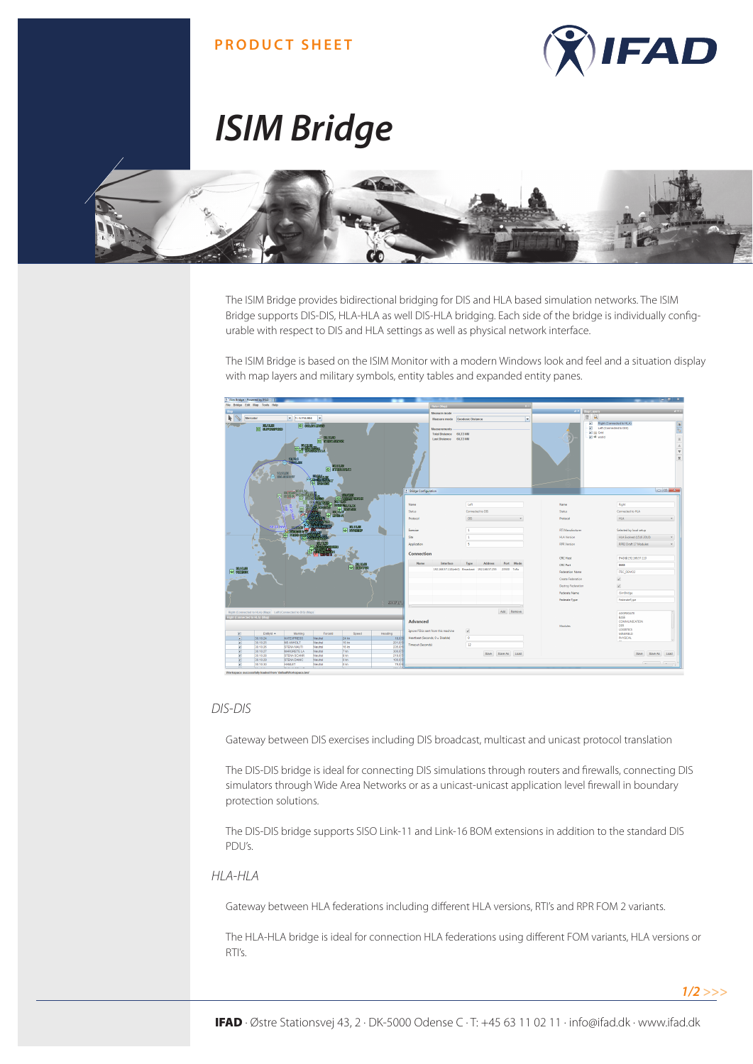### **PRODUCT SHEET**



# *ISIM Bridge*



The ISIM Bridge provides bidirectional bridging for DIS and HLA based simulation networks. The ISIM Bridge supports DIS-DIS, HLA-HLA as well DIS-HLA bridging. Each side of the bridge is individually configurable with respect to DIS and HLA settings as well as physical network interface.

The ISIM Bridge is based on the ISIM Monitor with a modern Windows look and feel and a situation display with map layers and military symbols, entity tables and expanded entity panes.



#### *DIS-DIS*

Gateway between DIS exercises including DIS broadcast, multicast and unicast protocol translation

The DIS-DIS bridge is ideal for connecting DIS simulations through routers and firewalls, connecting DIS simulators through Wide Area Networks or as a unicast-unicast application level firewall in boundary protection solutions.

The DIS-DIS bridge supports SISO Link-11 and Link-16 BOM extensions in addition to the standard DIS PDU's.

#### *HLA-HLA*

Gateway between HLA federations including different HLA versions, RTI's and RPR FOM 2 variants.

The HLA-HLA bridge is ideal for connection HLA federations using different FOM variants, HLA versions or RTI's.

*1/2 >>>*